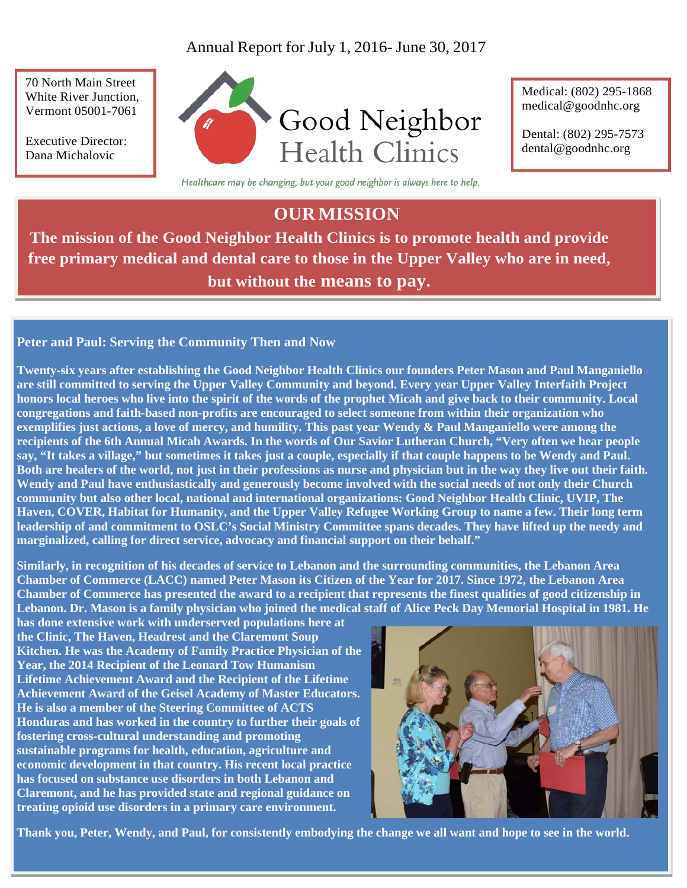# Annual Report for July 1, 2016- June 30, 2017

70 North Main Street White River Junction, Vermont 05001-7061

Executive Director: Dana Michalovic



Medical: (802) 295-1868 [medical@goodnhc.org](mailto:medical@goodnhc.org) 

Dental: (802) 295-7573 [dental@goodnhc.org](mailto:dental@goodnhc.org)

Healthcare may be changing, but your good neighbor is always here to help.

# **OUR MISSION**

**The mission of the Good Neighbor Health Clinics is to promote health and provide free primary medical and dental care to those in the Upper Valley who are in need, but without the means to pay.**

## **Peter and Paul: Serving the Community Then and Now**

**Twenty-six years after establishing the Good Neighbor Health Clinics our founders Peter Mason and Paul Manganiello are still committed to serving the Upper Valley Community and beyond. Every year Upper Valley Interfaith Project honors local heroes who live into the spirit of the words of the prophet Micah and give back to their community. Local congregations and faith-based non-profits are encouraged to select someone from within their organization who exemplifies just actions, a love of mercy, and humility. This past year Wendy & Paul Manganiello were among the recipients of the 6th Annual Micah Awards. In the words of Our Savior Lutheran Church, "Very often we hear people say, "It takes a village," but sometimes it takes just a couple, especially if that couple happens to be Wendy and Paul. Both are healers of the world, not just in their professions as nurse and physician but in the way they live out their faith. Wendy and Paul have enthusiastically and generously become involved with the social needs of not only their Church community but also other local, national and international organizations: Good Neighbor Health Clinic, UVIP, The Haven, COVER, Habitat for Humanity, and the Upper Valley Refugee Working Group to name a few. Their long term leadership of and commitment to OSLC's Social Ministry Committee spans decades. They have lifted up the needy and marginalized, calling for direct service, advocacy and financial support on their behalf."** 

**Similarly, in recognition of his decades of service to Lebanon and the surrounding communities, the Lebanon Area Chamber of Commerce (LACC) named Peter Mason its Citizen of the Year for 2017. Since 1972, the Lebanon Area Chamber of Commerce has presented the award to a recipient that represents the finest qualities of good citizenship in Lebanon. Dr. Mason is a family physician who joined the medical staff of Alice Peck Day Memorial Hospital in 1981. He** 

**has done extensive work with underserved populations here at the Clinic, The Haven, Headrest and the Claremont Soup Kitchen. He was the Academy of Family Practice Physician of the Year, the 2014 Recipient of the Leonard Tow Humanism Lifetime Achievement Award and the Recipient of the Lifetime Achievement Award of the Geisel Academy of Master Educators. He is also a member of the Steering Committee of ACTS Honduras and has worked in the country to further their goals of fostering cross-cultural understanding and promoting sustainable programs for health, education, agriculture and economic development in that country. His recent local practice has focused on substance use disorders in both Lebanon and Claremont, and he has provided state and regional guidance on treating opioid use disorders in a primary care environment.** 



**Thank you, Peter, Wendy, and Paul, for consistently embodying the change we all want and hope to see in the world.**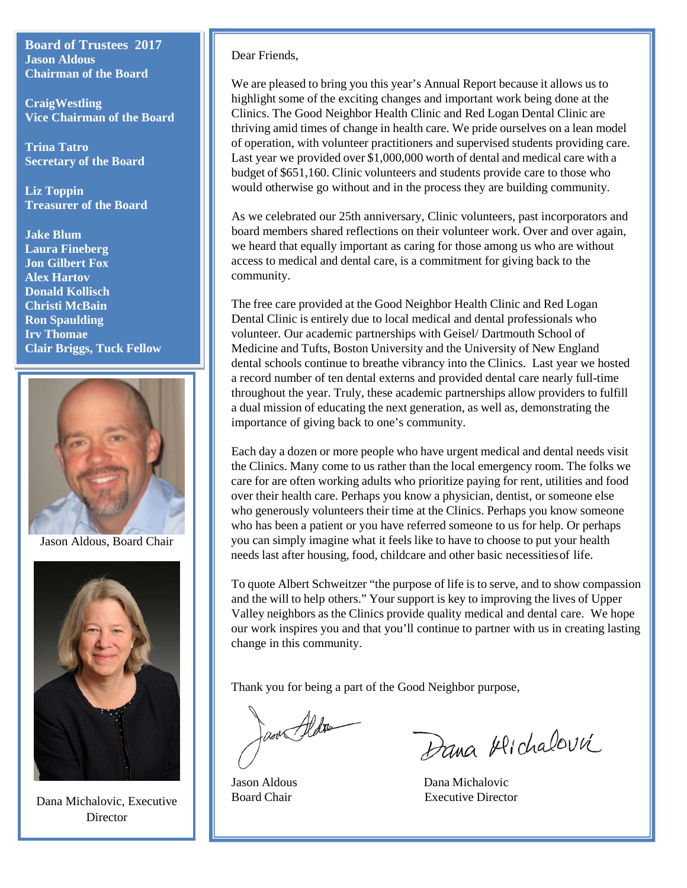**Board of Trustees 2017 Jason Aldous Chairman of the Board** 

**CraigWestling Vice Chairman of the Board** 

**Trina Tatro Secretary of the Board** 

**Liz Toppin Treasurer of the Board** 

**Jake Blum Laura Fineberg Jon Gilbert Fox Alex Hartov Donald Kollisch Christi McBain Ron Spaulding Irv Thomae Clair Briggs, Tuck Fellow**



Jason Aldous, Board Chair



Dana Michalovic, Executive **Director** 

Dear Friends,

We are pleased to bring you this year's Annual Report because it allows us to highlight some of the exciting changes and important work being done at the Clinics. The Good Neighbor Health Clinic and Red Logan Dental Clinic are thriving amid times of change in health care. We pride ourselves on a lean model of operation, with volunteer practitioners and supervised students providing care. Last year we provided over \$1,000,000 worth of dental and medical care with a budget of \$651,160. Clinic volunteers and students provide care to those who would otherwise go without and in the process they are building community.

As we celebrated our 25th anniversary, Clinic volunteers, past incorporators and board members shared reflections on their volunteer work. Over and over again, we heard that equally important as caring for those among us who are without access to medical and dental care, is a commitment for giving back to the community.

The free care provided at the Good Neighbor Health Clinic and Red Logan Dental Clinic is entirely due to local medical and dental professionals who volunteer. Our academic partnerships with Geisel/ Dartmouth School of Medicine and Tufts, Boston University and the University of New England dental schools continue to breathe vibrancy into the Clinics. Last year we hosted a record number of ten dental externs and provided dental care nearly full-time throughout the year. Truly, these academic partnerships allow providers to fulfill a dual mission of educating the next generation, as well as, demonstrating the importance of giving back to one's community.

Each day a dozen or more people who have urgent medical and dental needs visit the Clinics. Many come to us rather than the local emergency room. The folks we care for are often working adults who prioritize paying for rent, utilities and food over their health care. Perhaps you know a physician, dentist, or someone else who generously volunteers their time at the Clinics. Perhaps you know someone who has been a patient or you have referred someone to us for help. Or perhaps you can simply imagine what it feels like to have to choose to put your health needs last after housing, food, childcare and other basic necessitiesof life.

To quote Albert Schweitzer "the purpose of life is to serve, and to show compassion and the will to help others." Your support is key to improving the lives of Upper Valley neighbors as the Clinics provide quality medical and dental care. We hope our work inspires you and that you'll continue to partner with us in creating lasting change in this community.

Thank you for being a part of the Good Neighbor purpose,

an Aldres

Dana Alichalovic

Jason Aldous Dana Michalovic Board Chair Executive Director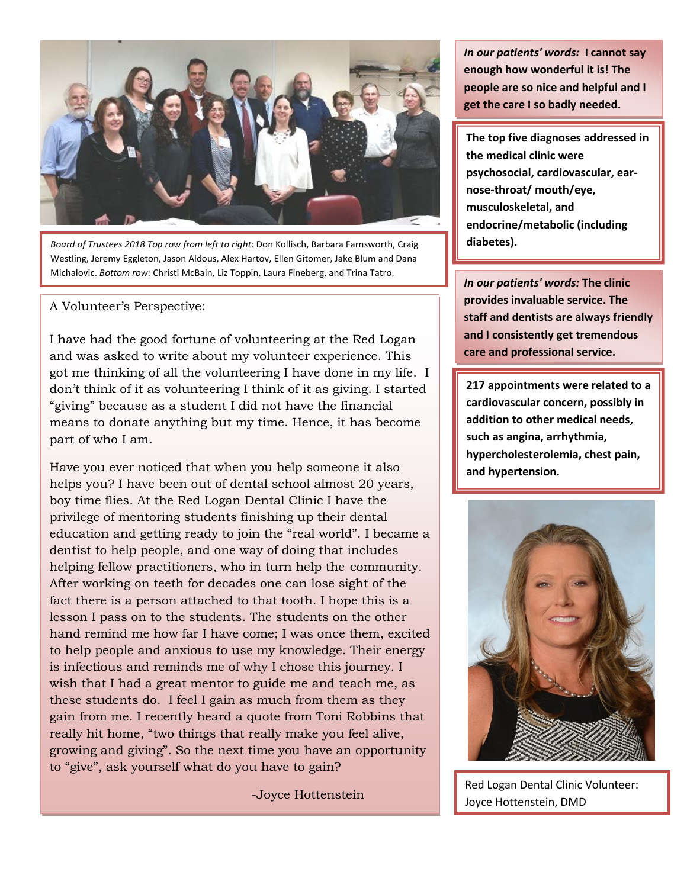

*Board of Trustees 2018 Top row from left to right:* Don Kollisch, Barbara Farnsworth, Craig Westling, Jeremy Eggleton, Jason Aldous, Alex Hartov, Ellen Gitomer, Jake Blum and Dana Michalovic. *Bottom row:* Christi McBain, Liz Toppin, Laura Fineberg, and Trina Tatro.

## A Volunteer's Perspective:

I have had the good fortune of volunteering at the Red Logan and was asked to write about my volunteer experience. This got me thinking of all the volunteering I have done in my life. I don't think of it as volunteering I think of it as giving. I started "giving" because as a student I did not have the financial means to donate anything but my time. Hence, it has become part of who I am.

Have you ever noticed that when you help someone it also helps you? I have been out of dental school almost 20 years, boy time flies. At the Red Logan Dental Clinic I have the privilege of mentoring students finishing up their dental education and getting ready to join the "real world". I became a dentist to help people, and one way of doing that includes helping fellow practitioners, who in turn help the community. After working on teeth for decades one can lose sight of the fact there is a person attached to that tooth. I hope this is a lesson I pass on to the students. The students on the other hand remind me how far I have come; I was once them, excited to help people and anxious to use my knowledge. Their energy is infectious and reminds me of why I chose this journey. I wish that I had a great mentor to guide me and teach me, as these students do. I feel I gain as much from them as they gain from me. I recently heard a quote from Toni Robbins that really hit home, "two things that really make you feel alive, growing and giving". So the next time you have an opportunity to "give", ask yourself what do you have to gain?

-Joyce Hottenstein

*In our patients' words:* **I cannot say enough how wonderful it is! The people are so nice and helpful and I get the care I so badly needed.**

**The top five diagnoses addressed in the medical clinic were psychosocial, cardiovascular, earnose-throat/ mouth/eye, musculoskeletal, and endocrine/metabolic (including diabetes).**

*In our patients' words:* **The clinic provides invaluable service. The staff and dentists are always friendly and I consistently get tremendous care and professional service.**

**217 appointments were related to a cardiovascular concern, possibly in addition to other medical needs, such as angina, arrhythmia, hypercholesterolemia, chest pain, and hypertension.** 



Red Logan Dental Clinic Volunteer: Joyce Hottenstein, DMD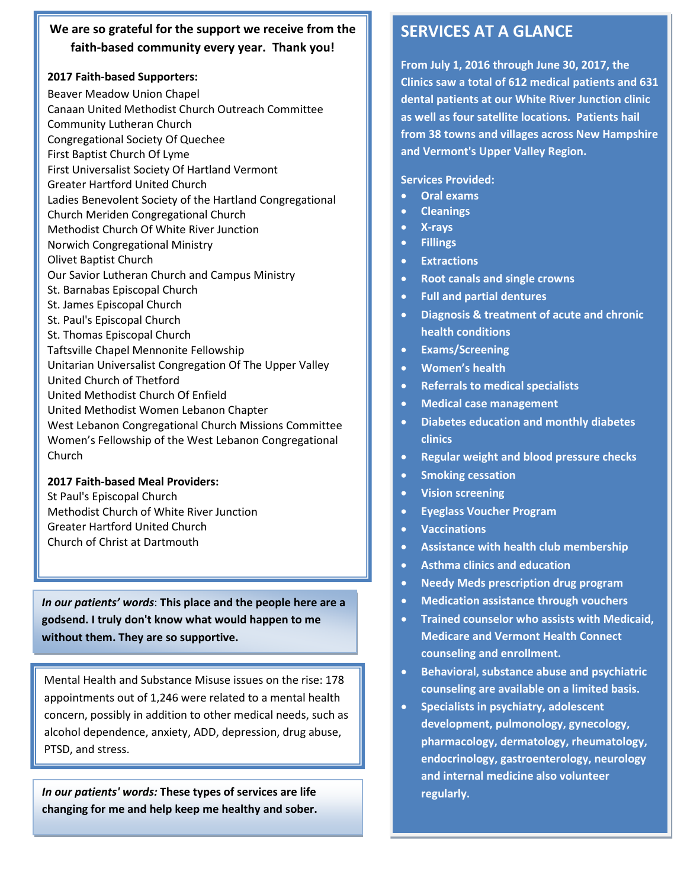## **We are so grateful for the support we receive from the faith-based community every year. Thank you!**

#### **2017 Faith-based Supporters:**

Beaver Meadow Union Chapel Canaan United Methodist Church Outreach Committee Community Lutheran Church Congregational Society Of Quechee First Baptist Church Of Lyme First Universalist Society Of Hartland Vermont Greater Hartford United Church Ladies Benevolent Society of the Hartland Congregational Church Meriden Congregational Church Methodist Church Of White River Junction Norwich Congregational Ministry Olivet Baptist Church Our Savior Lutheran Church and Campus Ministry St. Barnabas Episcopal Church St. James Episcopal Church St. Paul's Episcopal Church St. Thomas Episcopal Church Taftsville Chapel Mennonite Fellowship Unitarian Universalist Congregation Of The Upper Valley United Church of Thetford United Methodist Church Of Enfield United Methodist Women Lebanon Chapter West Lebanon Congregational Church Missions Committee Women's Fellowship of the West Lebanon Congregational Church

**2017 Faith-based Meal Providers:** St Paul's Episcopal Church Methodist Church of White River Junction Greater Hartford United Church Church of Christ at Dartmouth

*In our patients' words*: **This place and the people here are a godsend. I truly don't know what would happen to me without them. They are so supportive.**

Mental Health and Substance Misuse issues on the rise: 178 appointments out of 1,246 were related to a mental health concern, possibly in addition to other medical needs, such as alcohol dependence, anxiety, ADD, depression, drug abuse, PTSD, and stress.

*In our patients' words:* **These types of services are life changing for me and help keep me healthy and sober.**

# **SERVICES AT A GLANCE**

**From July 1, 2016 through June 30, 2017, the Clinics saw a total of 612 medical patients and 631 dental patients at our White River Junction clinic as well as four satellite locations. Patients hail from 38 towns and villages across New Hampshire and Vermont's Upper Valley Region.**

**Services Provided:**

- **Oral exams**
- **Cleanings**
- **X-rays**
- **Fillings**
- **Extractions**
- **Root canals and single crowns**
- **Full and partial dentures**
- **Diagnosis & treatment of acute and chronic health conditions**
- **Exams/Screening**
- **Women's health**
- **Referrals to medical specialists**
- **Medical case management**
- **Diabetes education and monthly diabetes clinics**
- **Regular weight and blood pressure checks**
- **Smoking cessation**
- **Vision screening**
- **Eyeglass Voucher Program**
- **Vaccinations**
- **Assistance with health club membership**
- **Asthma clinics and education**
- **Needy Meds prescription drug program**
- **Medication assistance through vouchers**
- **Trained counselor who assists with Medicaid, Medicare and Vermont Health Connect counseling and enrollment.**
- **Behavioral, substance abuse and psychiatric counseling are available on a limited basis.**
- **Specialists in psychiatry, adolescent development, pulmonology, gynecology, pharmacology, dermatology, rheumatology, endocrinology, gastroenterology, neurology and internal medicine also volunteer regularly.**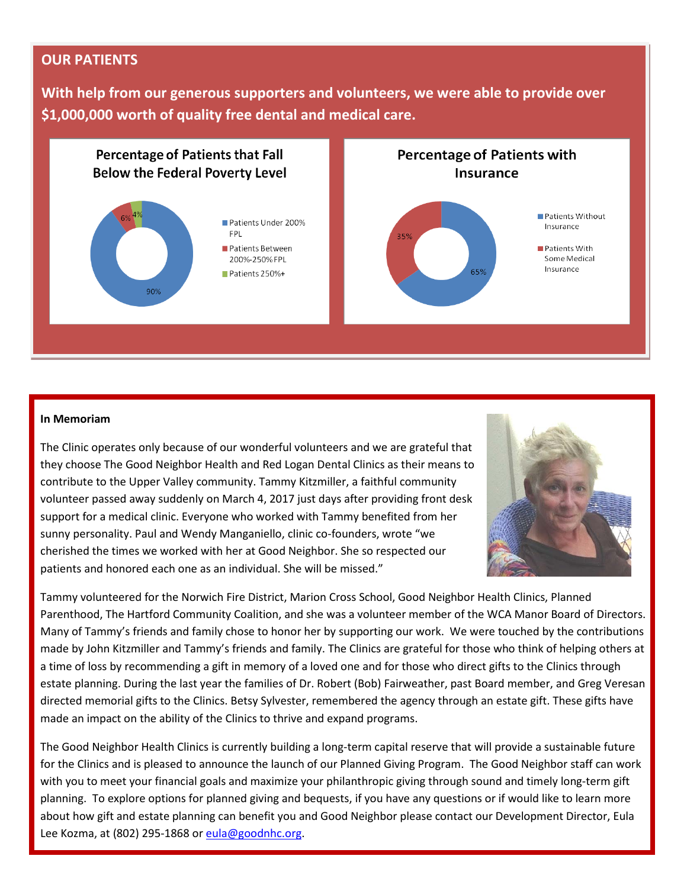## **OUR PATIENTS**

**With help from our generous supporters and volunteers, we were able to provide over \$1,000,000 worth of quality free dental and medical care.** 



#### **In Memoriam**

The Clinic operates only because of our wonderful volunteers and we are grateful that they choose The Good Neighbor Health and Red Logan Dental Clinics as their means to contribute to the Upper Valley community. Tammy Kitzmiller, a faithful community volunteer passed away suddenly on March 4, 2017 just days after providing front desk support for a medical clinic. Everyone who worked with Tammy benefited from her sunny personality. Paul and Wendy Manganiello, clinic co-founders, wrote "we cherished the times we worked with her at Good Neighbor. She so respected our patients and honored each one as an individual. She will be missed."



Tammy volunteered for the Norwich Fire District, Marion Cross School, Good Neighbor Health Clinics, Planned Parenthood, The Hartford Community Coalition, and she was a volunteer member of the WCA Manor Board of Directors. Many of Tammy's friends and family chose to honor her by supporting our work. We were touched by the contributions made by John Kitzmiller and Tammy's friends and family. The Clinics are grateful for those who think of helping others at a time of loss by recommending a gift in memory of a loved one and for those who direct gifts to the Clinics through estate planning. During the last year the families of Dr. Robert (Bob) Fairweather, past Board member, and Greg Veresan directed memorial gifts to the Clinics. Betsy Sylvester, remembered the agency through an estate gift. These gifts have made an impact on the ability of the Clinics to thrive and expand programs.

The Good Neighbor Health Clinics is currently building a long-term capital reserve that will provide a sustainable future for the Clinics and is pleased to [announce the launch](mailto:eula@goodnhc.org) of our Planned Giving Program. The Good Neighbor staff can work with you to meet your financial goals and maximize your philanthropic giving through sound and timely long-term gift planning. To explore options for planned giving and bequests, if you have any questions or if would like to learn more about how gift and estate planning can benefit you and Good Neighbor please contact our Development Director, Eula Lee Kozma, at (802) 295-1868 or eula@goodnhc.org.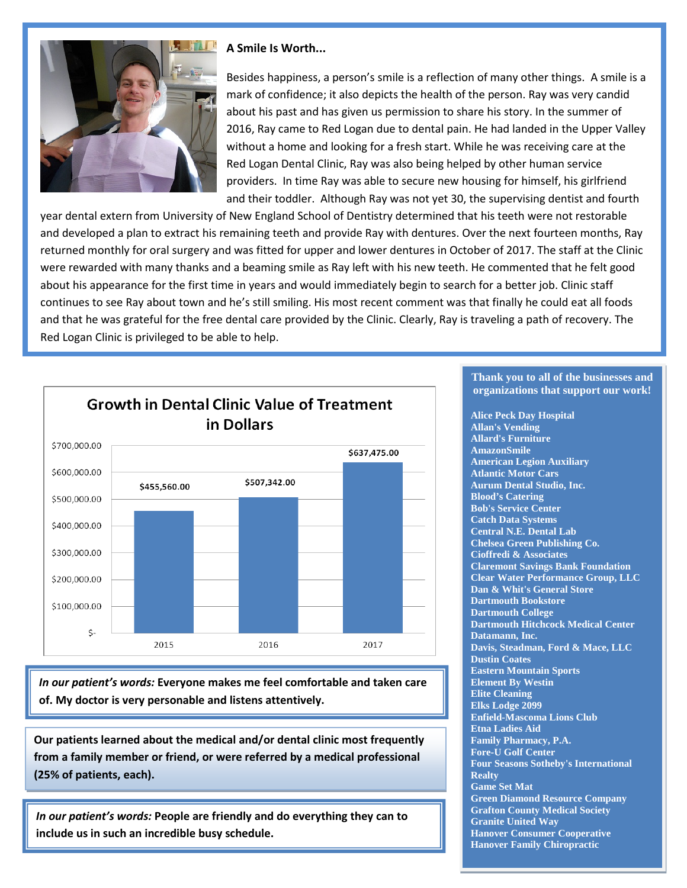

#### **A Smile Is Worth...**

Besides happiness, a person's smile is a reflection of many other things. A smile is a mark of confidence; it also depicts the health of the person. Ray was very candid about his past and has given us permission to share his story. In the summer of 2016, Ray came to Red Logan due to dental pain. He had landed in the Upper Valley without a home and looking for a fresh start. While he was receiving care at the Red Logan Dental Clinic, Ray was also being helped by other human service providers. In time Ray was able to secure new housing for himself, his girlfriend and their toddler. Although Ray was not yet 30, the supervising dentist and fourth

year dental extern from University of New England School of Dentistry determined that his teeth were not restorable and developed a plan to extract his remaining teeth and provide Ray with dentures. Over the next fourteen months, Ray returned monthly for oral surgery and was fitted for upper and lower dentures in October of 2017. The staff at the Clinic were rewarded with many thanks and a beaming smile as Ray left with his new teeth. He commented that he felt good about his appearance for the first time in years and would immediately begin to search for a better job. Clinic staff continues to see Ray about town and he's still smiling. His most recent comment was that finally he could eat all foods and that he was grateful for the free dental care provided by the Clinic. Clearly, Ray is traveling a path of recovery. The Red Logan Clinic is privileged to be able to help.



*In our patient's words:* **Everyone makes me feel comfortable and taken care of. My doctor is very personable and listens attentively.**

**Our patients learned about the medical and/or dental clinic most frequently from a family member or friend, or were referred by a medical professional (25% of patients, each).** 

*In our patient's words:* **People are friendly and do everything they can to include us in such an incredible busy schedule.**

#### **Thank you to all of the businesses and organizations that support our work!**

**Alice Peck Day Hospital Allan's Vending Allard's Furniture AmazonSmile American Legion Auxiliary Atlantic Motor Cars Aurum Dental Studio, Inc. Blood's Catering Bob's Service Center Catch Data Systems Central N.E. Dental Lab Chelsea Green Publishing Co. Cioffredi & Associates Claremont Savings Bank Foundation Clear Water Performance Group, LLC Dan & Whit's General Store Dartmouth Bookstore Dartmouth College Dartmouth Hitchcock Medical Center Datamann, Inc. Davis, Steadman, Ford & Mace, LLC Dustin Coates Eastern Mountain Sports Element By Westin Elite Cleaning Elks Lodge 2099 Enfield-Mascoma Lions Club Etna Ladies Aid Family Pharmacy, P.A. Fore-U Golf Center Four Seasons Sotheby's International Realty Game Set Mat Green Diamond Resource Company Grafton County Medical Society Granite United Way Hanover Consumer Cooperative Hanover Family Chiropractic**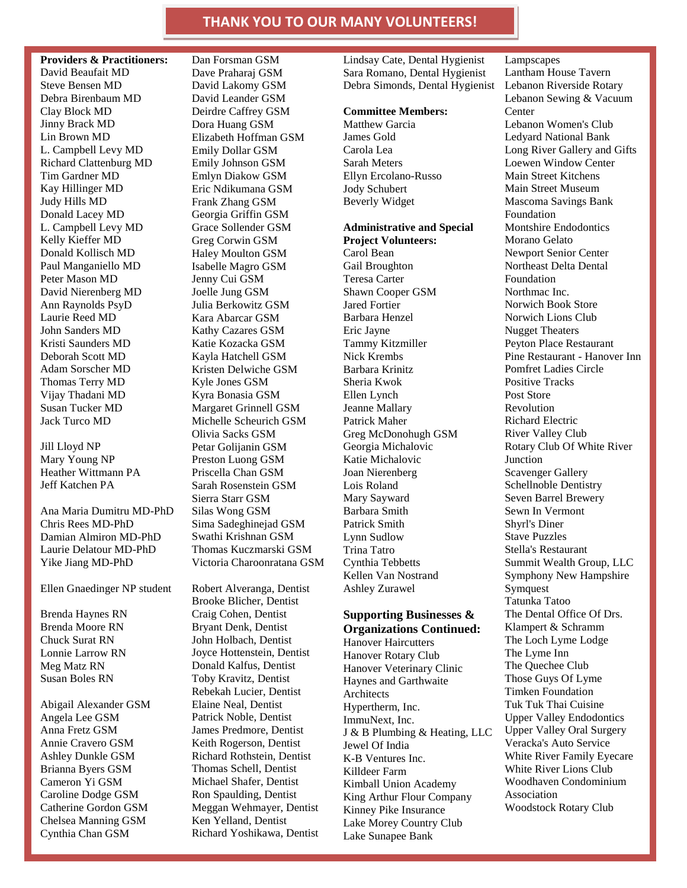### **THANK YOU TO OUR MANY VOLUNTEERS!**

**Providers & Practitioners:**  David Beaufait MD Steve Bensen MD Debra Birenbaum MD Clay Block MD Jinny Brack MD Lin Brown MD L. Campbell Levy MD Richard Clattenburg MD Tim Gardner MD Kay Hillinger MD Judy Hills MD Donald Lacey MD L. Campbell Levy MD Kelly Kieffer MD Donald Kollisch MD Paul Manganiello MD Peter Mason MD David Nierenberg MD Ann Raynolds PsyD Laurie Reed MD John Sanders MD Kristi Saunders MD Deborah Scott MD Adam Sorscher MD Thomas Terry MD Vijay Thadani MD Susan Tucker MD Jack Turco MD

Jill Lloyd NP Mary Young NP Heather Wittmann PA Jeff Katchen PA

Ana Maria Dumitru MD-PhD Chris Rees MD-PhD Damian Almiron MD-PhD Laurie Delatour MD-PhD Yike Jiang MD-PhD

Ellen Gnaedinger NP student

Brenda Haynes RN Brenda Moore RN Chuck Surat RN Lonnie Larrow RN Meg Matz RN Susan Boles RN

Abigail Alexander GSM Angela Lee GSM Anna Fretz GSM Annie Cravero GSM Ashley Dunkle GSM Brianna Byers GSM Cameron Yi GSM Caroline Dodge GSM Catherine Gordon GSM Chelsea Manning GSM Cynthia Chan GSM

Dan Forsman GSM Dave Praharaj GSM David Lakomy GSM David Leander GSM Deirdre Caffrey GSM Dora Huang GSM Elizabeth Hoffman GSM Emily Dollar GSM Emily Johnson GSM Emlyn Diakow GSM Eric Ndikumana GSM Frank Zhang GSM Georgia Griffin GSM Grace Sollender GSM Greg Corwin GSM Haley Moulton GSM Isabelle Magro GSM Jenny Cui GSM Joelle Jung GSM Julia Berkowitz GSM Kara Abarcar GSM Kathy Cazares GSM Katie Kozacka GSM Kayla Hatchell GSM Kristen Delwiche GSM Kyle Jones GSM Kyra Bonasia GSM Margaret Grinnell GSM Michelle Scheurich GSM Olivia Sacks GSM Petar Golijanin GSM Preston Luong GSM Priscella Chan GSM Sarah Rosenstein GSM Sierra Starr GSM Silas Wong GSM Sima Sadeghinejad GSM Swathi Krishnan GSM Thomas Kuczmarski GSM Victoria Charoonratana GSM

Robert Alveranga, Dentist Brooke Blicher, Dentist Craig Cohen, Dentist Bryant Denk, Dentist John Holbach, Dentist Joyce Hottenstein, Dentist Donald Kalfus, Dentist Toby Kravitz, Dentist Rebekah Lucier, Dentist Elaine Neal, Dentist Patrick Noble, Dentist James Predmore, Dentist Keith Rogerson, Dentist Richard Rothstein, Dentist Thomas Schell, Dentist Michael Shafer, Dentist Ron Spaulding, Dentist Meggan Wehmayer, Dentist Ken Yelland, Dentist Richard Yoshikawa, Dentist Lindsay Cate, Dental Hygienist Sara Romano, Dental Hygienist Debra Simonds, Dental Hygienist

#### **Committee Members:**

Matthew Garcia James Gold Carola Lea Sarah Meters Ellyn Ercolano-Russo Jody Schubert Beverly Widget

#### **Administrative and Special Project Volunteers:**  Carol Bean

Gail Broughton Teresa Carter Shawn Cooper GSM Jared Fortier Barbara Henzel Eric Jayne Tammy Kitzmiller Nick Krembs Barbara Krinitz Sheria Kwok Ellen Lynch Jeanne Mallary Patrick Maher Greg McDonohugh GSM Georgia Michalovic Katie Michalovic Joan Nierenberg Lois Roland Mary Sayward Barbara Smith Patrick Smith Lynn Sudlow Trina Tatro Cynthia Tebbetts Kellen Van Nostrand Ashley Zurawel

#### **Supporting Businesses & Organizations Continued:**  Hanover Haircutters

Hanover Rotary Club Hanover Veterinary Clinic Haynes and Garthwaite Architects Hypertherm, Inc. ImmuNext, Inc. J & B Plumbing & Heating, LLC Jewel Of India K-B Ventures Inc. Killdeer Farm Kimball Union Academy King Arthur Flour Company Kinney Pike Insurance Lake Morey Country Club Lake Sunapee Bank

Lampscapes Lantham House Tavern Lebanon Riverside Rotary Lebanon Sewing & Vacuum **Center** Lebanon Women's Club Ledyard National Bank Long River Gallery and Gifts Loewen Window Center Main Street Kitchens Main Street Museum Mascoma Savings Bank Foundation Montshire Endodontics Morano Gelato Newport Senior Center Northeast Delta Dental Foundation Northmac Inc. Norwich Book Store Norwich Lions Club Nugget Theaters Peyton Place Restaurant Pine Restaurant - Hanover Inn Pomfret Ladies Circle Positive Tracks Post Store Revolution Richard Electric River Valley Club Rotary Club Of White River **Junction** Scavenger Gallery Schellnoble Dentistry Seven Barrel Brewery Sewn In Vermont Shyrl's Diner Stave Puzzles Stella's Restaurant Summit Wealth Group, LLC Symphony New Hampshire **Symquest** Tatunka Tatoo The Dental Office Of Drs. Klampert & Schramm The Loch Lyme Lodge The Lyme Inn The Quechee Club Those Guys Of Lyme Timken Foundation Tuk Tuk Thai Cuisine Upper Valley Endodontics Upper Valley Oral Surgery Veracka's Auto Service White River Family Eyecare White River Lions Club Woodhaven Condominium Association Woodstock Rotary Club